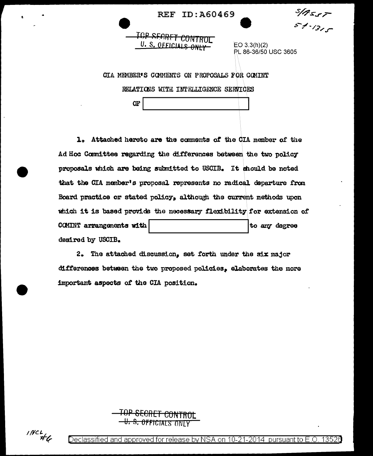**REF ID: A60469** 

**SIBSST** 5 \$ - 1315

## TOP SECRET CONTROL U. S. OFFICIALS ONLY

 $EO 3.3(h)(2)$ PL 86-36/50 USC 3605

CIA MEMBER'S COMMENTS ON PROPOSALS FOR COMINT

RELATIONS WITH INTELLIGENCE SERVICES

Œ

1. Attached hereto are the comments of the CIA member of the Ad Hoc Committee regarding the differences between the two policy proposals which are being submitted to USCIB. It should be noted that the CIA member's proposal represents no radical departure from Board practice or stated policy, although the current methods upon which it is based provide the necessary flexibility for extension of COMINT arrangements with to any degree desired by USCIB.

2. The attached discussion, set forth under the six major differences between the two proposed policies, elaborates the more important aspects of the CIA position.

**-U.S. OFFICIALS ONLY** 

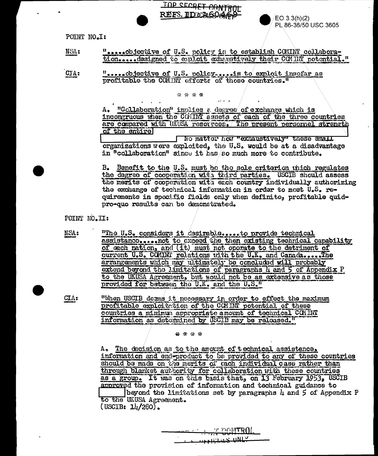TOP SECRET CONTROL REFS ID CAGO469

POINT NO.It

".....objective of U.S. policy is to establish COMINT collabora-NSA: tion.....designed to evalort exhaustively their COMINT potential."

".....objective of U.S. policy.....is to exploit insofar as CTA: profitable the CCMINT efforts of those countries."

\* \* \* \*

A. "Collaboration" implies a degree of exchange which is incongruous when the COMINT assets of each of the three countries are compared with UAUSA resorreces. The present personnel strength of the entirel No matter how "exhaustively" these small

 $EO 3.3(h)(2)$ 

PL 86-36/50 USC 3605

organizations were exploited, the U.S. would be at a disadvantage in "collaboration" since it has so much more to contribute.

B. Benefit to the U.S. must bo the sole criterion which regulates the degree of cooperation with third parties. USCIB should assess the merits of cooperation with each country individually authorizing the exchange of technical information in order to meet U.S. requirements in specific fields only when definite, profitable quidpro-quo results can be demonstrated.

POINT NO.II:

NSA: "The U.S. considers it desirable ..... to provide technical assistance.....not to exceed the then existing technical capability of each nation, and (it) must not operate to the detriment of current U.S. COMINI relations with the U.K. and Canada..... The arrangements which may ultimately be concluded will probably extend beyond the limitations of paragraphs 4 and 5 of Appendix P to the UKUSA Agreement, but would not be as extensive as those provided for between the U.K. and the U.S."

CIA: "When USCIB deans it necessary in order to effect the maximum profitable exploitation of the COMINT potential of these countries a minimum appropriate amount of technical COMINT information as determined by USCIB may be released."

\*\*\*\*

A. The decision as to the amount of technical assistance, information and end-product to be provided to any of these countries should be made on the merits of each individual case rather than through blanket authority for collaboration with these countries as a group. It was on this basis that, on 13 February 1953, USCIB approved the provision of information and technical guidance to beyond the limitations set by paragraphs  $\mu$  and  $5$  of Appendix P to the UKUSA Agreement.  $($  USCIB:  $1\frac{1}{280}$ .

**E EQNTROL TE THERE ONLY**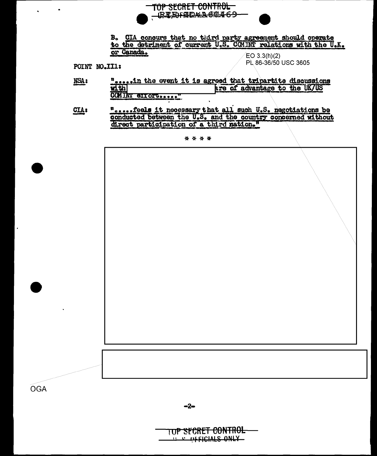

B. CIA concurs that no third party agreement should operate to the detrinent of current U.S. COMINT relations with the U.K. or Canada.  $EO 3.3(h)(2)$ 

POINT NO.III:

PL 86-36/50 USC 3605

- ".....in the event it is agreed that tripartite discussions NSA:  $\frac{1}{2}$ are of advantage to the UK/US COMINT GIIOFUSSIS
- **notified it necessary that all such U.S. negotiations be conducted between the U.S. and the country concerned without** CIA: direct participation of a third nation."

\* \* \* \*



TUP SECRET CONTROL **THE OFFICIALS ONLY**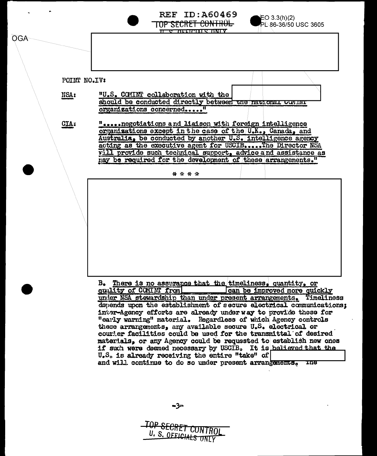

and will continue to do so under present arrangements. The

TOP SECRET CONTRO U. S. OFFICIALS ONLY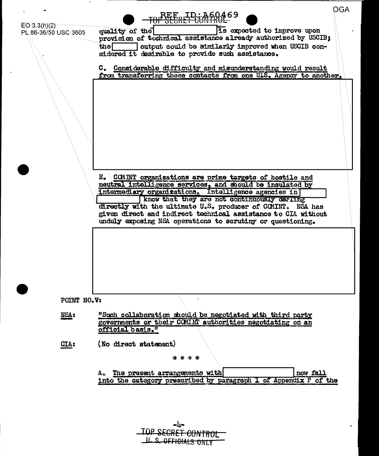| $EO\ 3.3(h)(2)$<br>PL 86-36/50 USC 3605 | OGA<br><u>VEERLIPCUMP</u><br>Is expected to improve upon<br>quality of the<br>provision of technical assistance already authorized by USCIB;<br>output could be similarly improved when USCIB con-<br>$t$ he $\Box$<br>sidered it desirable to provide such assistance.<br>C. Considerable difficulty and misunderstanding would result<br>from transferring these contacts from one ULS. Agency to another.<br>E. COMINT organizations are prime targets of hostile and |
|-----------------------------------------|--------------------------------------------------------------------------------------------------------------------------------------------------------------------------------------------------------------------------------------------------------------------------------------------------------------------------------------------------------------------------------------------------------------------------------------------------------------------------|
|                                         | neutral intelligence services, and should be insulated by<br>intermediary organizations. Intelligence agencies in                                                                                                                                                                                                                                                                                                                                                        |
|                                         | know that they are not continuously desiing                                                                                                                                                                                                                                                                                                                                                                                                                              |
|                                         | directly with the ultimate U.S. producer of COMINT. NSA has<br>given direct and indirect technical assistance to CIA without<br>unduly exposing NSA operations to scrutiny or questioning.                                                                                                                                                                                                                                                                               |
|                                         |                                                                                                                                                                                                                                                                                                                                                                                                                                                                          |
| POINT NO.V:                             |                                                                                                                                                                                                                                                                                                                                                                                                                                                                          |
| <b>NSAt</b>                             | "Such collaboration should be negotiated with third party<br>governments or their CCMINT authorities negotiating on an<br>official basis."                                                                                                                                                                                                                                                                                                                               |
| CTA:                                    | (No direct statement)                                                                                                                                                                                                                                                                                                                                                                                                                                                    |
|                                         | * * * *                                                                                                                                                                                                                                                                                                                                                                                                                                                                  |
|                                         | A. The present arrangements with<br>now fall                                                                                                                                                                                                                                                                                                                                                                                                                             |
|                                         | into the category prescribed by paragraph 1 of Appendix P of the                                                                                                                                                                                                                                                                                                                                                                                                         |
|                                         |                                                                                                                                                                                                                                                                                                                                                                                                                                                                          |

| ديلد                      |
|---------------------------|
| <b>TOP SEGRET CONTROL</b> |
|                           |
| LL S. OFFICIALS ONLY      |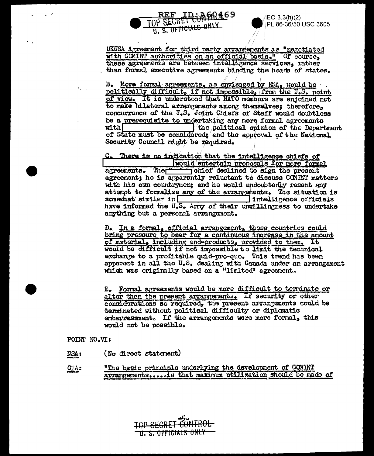

EO 3.3(h)(2) PL 86-36/50 USC 3605

UKUSA Agreement for third party arrangements as "negotiated with COMINT authorities on an official basis." Of course, these agreements are between intelligence services, rather than formal executive agreements binding the heads of states.

B. More formal agreements, as envisaged by NSA, would be. politically difficult, if not impossible, from the U.S. point of view. It is understood that NATO members are enjoined not to make bilateral arrangements among themselves; therefore, concurrence of the U.S. Joint Chiefs of Staff would doubtless be a prerequisite to undertaking any more formal agreements with The political opinion of the Department of State must be considered; and the approval of the National Security Council might be required.

C. There is no indication that the intelligence chiefs of would entertain proposals for more formal agreements. The ohief declined to sign the present agreement; he is apparently reluctant to discuss COMINT matters with his own countrymen; and he would undoubtedly resent any attempt to formalize any of the arrangements. The situation is  $$ intelligence officials have informed the U.S. Army of their unwillingness to undertake anything but a personal arrangement.

D. In a formal, official arrangement, these countries could bring pressure to bear for a continuous increase in the amount of material, including end-products, provided to them. It would be difficult if not impossible to limit the technical exchange to a profitable quid-pro-quo. This trend has been apparent in all the U.S. dealing with Canada under an arrangement which was originally based on a "limited" agreement.

E. Formal agreements would be more difficult to terminate or alter then the present arrangements. If security or other considerations so required, the present arrangements could be terminated without political difficulty or diplomatic embarressment. If the arrangements were more formal, this would not be possible.

POINT NO.VI:

- (No direct statement) NSA<sub>1</sub>
- "The basic principle underlying the development of COMINT CIA: arrangements..... is that maximum utilization should be made of

U. S. OFFICIALS ONLY